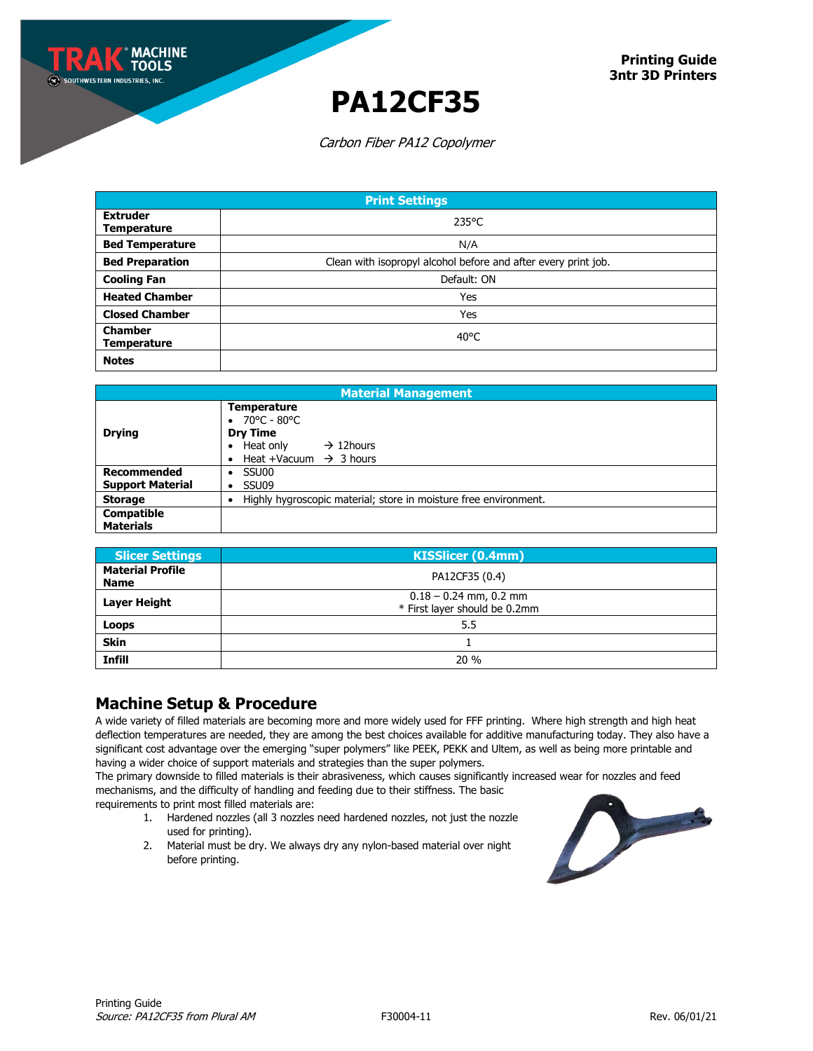**MACHINE** ף וחחז

## **PA12CF35**

Carbon Fiber PA12 Copolymer

| <b>Print Settings</b>                 |                                                                |  |
|---------------------------------------|----------------------------------------------------------------|--|
| <b>Extruder</b><br><b>Temperature</b> | $235^{\circ}$ C                                                |  |
| <b>Bed Temperature</b>                | N/A                                                            |  |
| <b>Bed Preparation</b>                | Clean with isopropyl alcohol before and after every print job. |  |
| <b>Cooling Fan</b>                    | Default: ON                                                    |  |
| <b>Heated Chamber</b>                 | Yes                                                            |  |
| <b>Closed Chamber</b>                 | Yes                                                            |  |
| <b>Chamber</b><br><b>Temperature</b>  | $40^{\circ}$ C                                                 |  |
| <b>Notes</b>                          |                                                                |  |

| <b>Material Management</b>                    |                                                                                                                                                             |  |
|-----------------------------------------------|-------------------------------------------------------------------------------------------------------------------------------------------------------------|--|
| <b>Drying</b>                                 | <b>Temperature</b><br>70°C - 80°C<br>$\bullet$<br><b>Dry Time</b><br>Heat only<br>$\rightarrow$ 12 hours<br>$\bullet$<br>Heat +Vacuum $\rightarrow$ 3 hours |  |
| <b>Recommended</b><br><b>Support Material</b> | SSU00<br>SSU09<br>٠                                                                                                                                         |  |
| <b>Storage</b>                                | Highly hygroscopic material; store in moisture free environment.                                                                                            |  |
| <b>Compatible</b><br><b>Materials</b>         |                                                                                                                                                             |  |

| <b>Slicer Settings</b>                 | <b>KISSlicer (0.4mm)</b>                                  |
|----------------------------------------|-----------------------------------------------------------|
| <b>Material Profile</b><br><b>Name</b> | PA12CF35 (0.4)                                            |
| Layer Height                           | $0.18 - 0.24$ mm, 0.2 mm<br>* First layer should be 0.2mm |
| Loops                                  | 5.5                                                       |
| <b>Skin</b>                            |                                                           |
| <b>Infill</b>                          | 20%                                                       |

### **Machine Setup & Procedure**

A wide variety of filled materials are becoming more and more widely used for FFF printing. Where high strength and high heat deflection temperatures are needed, they are among the best choices available for additive manufacturing today. They also have a significant cost advantage over the emerging "super polymers" like PEEK, PEKK and Ultem, as well as being more printable and having a wider choice of support materials and strategies than the super polymers.

The primary downside to filled materials is their abrasiveness, which causes significantly increased wear for nozzles and feed mechanisms, and the difficulty of handling and feeding due to their stiffness. The basic

requirements to print most filled materials are:

- 1. Hardened nozzles (all 3 nozzles need hardened nozzles, not just the nozzle used for printing).
- 2. Material must be dry. We always dry any nylon-based material over night before printing.